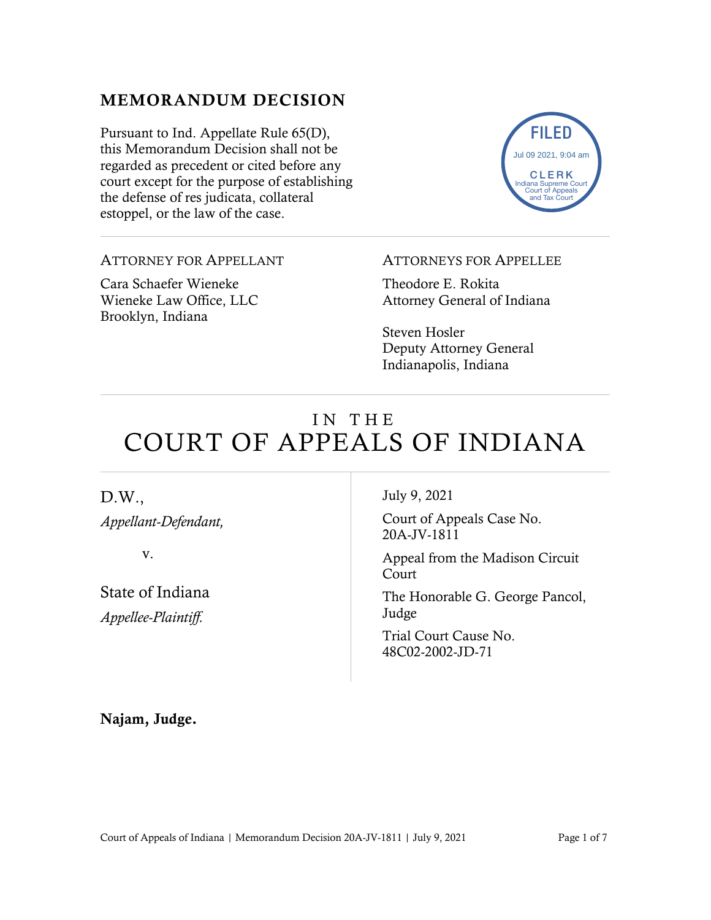# MEMORANDUM DECISION

Pursuant to Ind. Appellate Rule 65(D), this Memorandum Decision shall not be regarded as precedent or cited before any court except for the purpose of establishing the defense of res judicata, collateral estoppel, or the law of the case.



ATTORNEY FOR APPELLANT

Cara Schaefer Wieneke Wieneke Law Office, LLC Brooklyn, Indiana

#### ATTORNEYS FOR APPELLEE

Theodore E. Rokita Attorney General of Indiana

Steven Hosler Deputy Attorney General Indianapolis, Indiana

# IN THE COURT OF APPEALS OF INDIANA

### D.W.,

*Appellant-Defendant,*

v.

State of Indiana *Appellee-Plaintiff.* 

July 9, 2021

Court of Appeals Case No. 20A-JV-1811

Appeal from the Madison Circuit Court

The Honorable G. George Pancol, Judge

Trial Court Cause No. 48C02-2002-JD-71

Najam, Judge.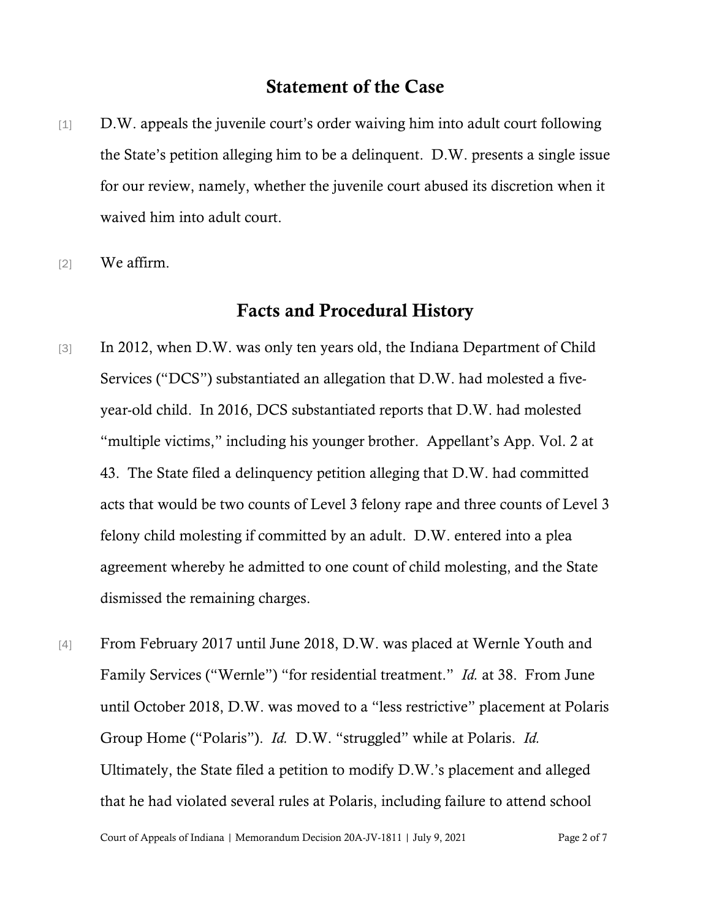#### Statement of the Case

- [1] D.W. appeals the juvenile court's order waiving him into adult court following the State's petition alleging him to be a delinquent. D.W. presents a single issue for our review, namely, whether the juvenile court abused its discretion when it waived him into adult court.
- [2] We affirm.

#### Facts and Procedural History

- [3] In 2012, when D.W. was only ten years old, the Indiana Department of Child Services ("DCS") substantiated an allegation that D.W. had molested a fiveyear-old child. In 2016, DCS substantiated reports that D.W. had molested "multiple victims," including his younger brother. Appellant's App. Vol. 2 at 43. The State filed a delinquency petition alleging that D.W. had committed acts that would be two counts of Level 3 felony rape and three counts of Level 3 felony child molesting if committed by an adult. D.W. entered into a plea agreement whereby he admitted to one count of child molesting, and the State dismissed the remaining charges.
- [4] From February 2017 until June 2018, D.W. was placed at Wernle Youth and Family Services ("Wernle") "for residential treatment." *Id.* at 38. From June until October 2018, D.W. was moved to a "less restrictive" placement at Polaris Group Home ("Polaris"). *Id.* D.W. "struggled" while at Polaris. *Id.* Ultimately, the State filed a petition to modify D.W.'s placement and alleged that he had violated several rules at Polaris, including failure to attend school

Court of Appeals of Indiana | Memorandum Decision 20A-JV-1811 | July 9, 2021 Page 2 of 7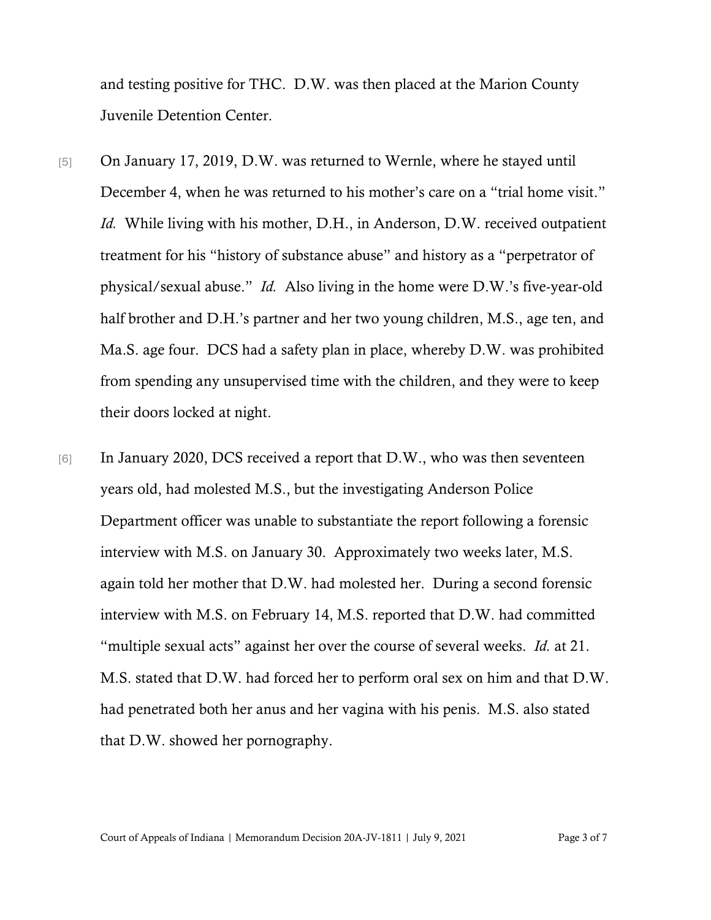and testing positive for THC. D.W. was then placed at the Marion County Juvenile Detention Center.

- [5] On January 17, 2019, D.W. was returned to Wernle, where he stayed until December 4, when he was returned to his mother's care on a "trial home visit." *Id.* While living with his mother, D.H., in Anderson, D.W. received outpatient treatment for his "history of substance abuse" and history as a "perpetrator of physical/sexual abuse." *Id.* Also living in the home were D.W.'s five-year-old half brother and D.H.'s partner and her two young children, M.S., age ten, and Ma.S. age four. DCS had a safety plan in place, whereby D.W. was prohibited from spending any unsupervised time with the children, and they were to keep their doors locked at night.
- [6] In January 2020, DCS received a report that D.W., who was then seventeen years old, had molested M.S., but the investigating Anderson Police Department officer was unable to substantiate the report following a forensic interview with M.S. on January 30. Approximately two weeks later, M.S. again told her mother that D.W. had molested her. During a second forensic interview with M.S. on February 14, M.S. reported that D.W. had committed "multiple sexual acts" against her over the course of several weeks. *Id.* at 21. M.S. stated that D.W. had forced her to perform oral sex on him and that D.W. had penetrated both her anus and her vagina with his penis. M.S. also stated that D.W. showed her pornography.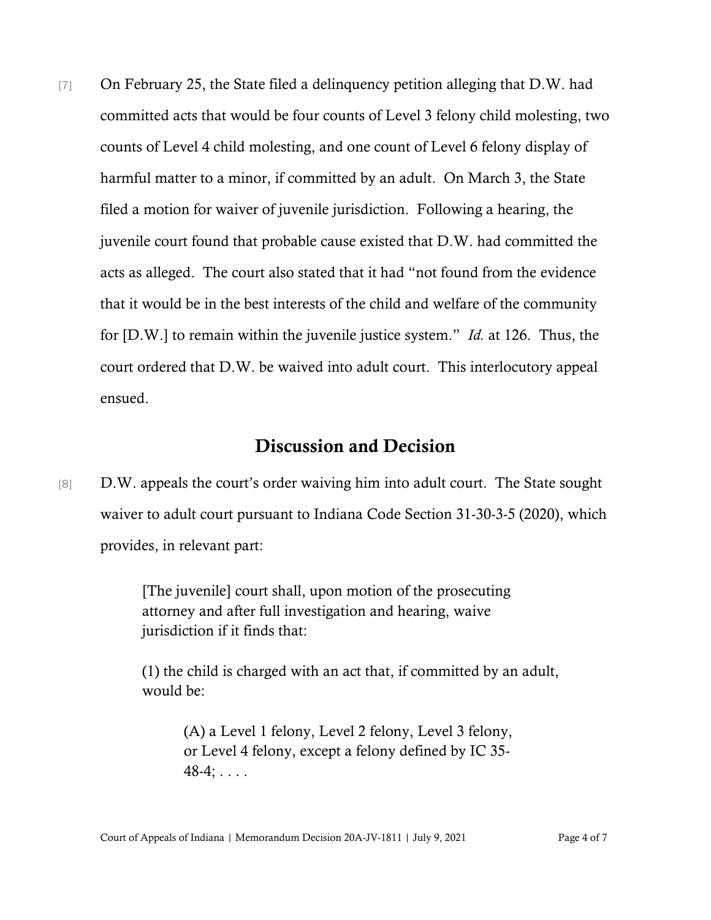[7] On February 25, the State filed a delinguency petition alleging that D.W. had committed acts that would be four counts of Level 3 felony child molesting, two counts of Level 4 child molesting, and one count of Level 6 felony display of harmful matter to a minor, if committed by an adult. On March 3, the State filed a motion for waiver of juvenile jurisdiction. Following a hearing, the juvenile court found that probable cause existed that D.W. had committed the acts as alleged. The court also stated that it had "not found from the evidence that it would be in the best interests of the child and welfare of the community for [D.W.] to remain within the juvenile justice system." *Id.* at 126. Thus, the court ordered that D.W. be waived into adult court. This interlocutory appeal ensued.

## Discussion and Decision

[8] D.W. appeals the court's order waiving him into adult court. The State sought waiver to adult court pursuant to Indiana Code Section 31-30-3-5 (2020), which provides, in relevant part:

> [The juvenile] court shall, upon motion of the prosecuting attorney and after full investigation and hearing, waive jurisdiction if it finds that:

(1) the child is charged with an act that, if committed by an adult, would be:

> (A) a Level 1 felony, Level 2 felony, Level 3 felony, or Level 4 felony, except a felony defined by IC 35-  $48-4; \ldots$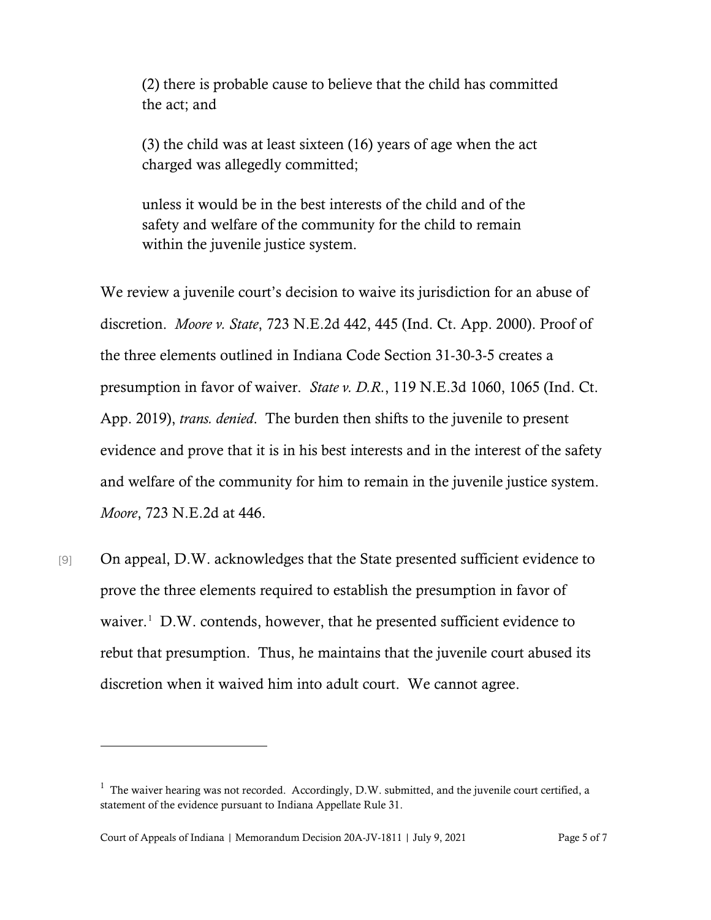(2) there is probable cause to believe that the child has committed the act; and

(3) the child was at least sixteen (16) years of age when the act charged was allegedly committed;

unless it would be in the best interests of the child and of the safety and welfare of the community for the child to remain within the juvenile justice system.

We review a juvenile court's decision to waive its jurisdiction for an abuse of discretion. *Moore v. State*, 723 N.E.2d 442, 445 (Ind. Ct. App. 2000). Proof of the three elements outlined in Indiana Code Section 31-30-3-5 creates a presumption in favor of waiver. *State v. D.R.*, 119 N.E.3d 1060, 1065 (Ind. Ct. App. 2019), *trans. denied*. The burden then shifts to the juvenile to present evidence and prove that it is in his best interests and in the interest of the safety and welfare of the community for him to remain in the juvenile justice system. *Moore*, 723 N.E.2d at 446.

[9] On appeal, D.W. acknowledges that the State presented sufficient evidence to prove the three elements required to establish the presumption in favor of waiver.<sup>[1](#page-4-0)</sup> D.W. contends, however, that he presented sufficient evidence to rebut that presumption. Thus, he maintains that the juvenile court abused its discretion when it waived him into adult court. We cannot agree.

<span id="page-4-0"></span> $1$  The waiver hearing was not recorded. Accordingly, D.W. submitted, and the juvenile court certified, a statement of the evidence pursuant to Indiana Appellate Rule 31.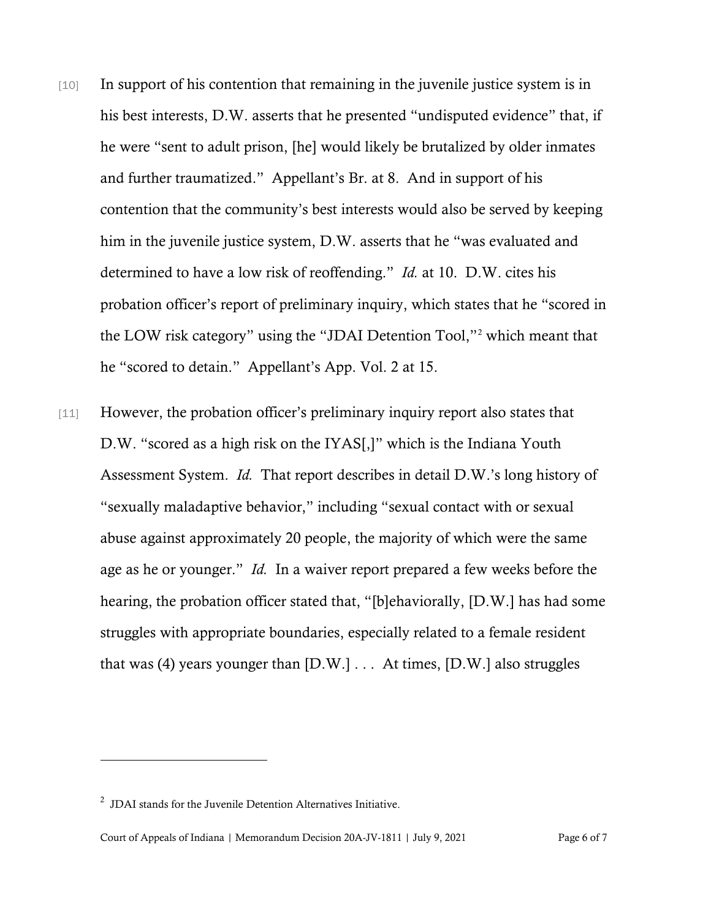- [10] In support of his contention that remaining in the juvenile justice system is in his best interests, D.W. asserts that he presented "undisputed evidence" that, if he were "sent to adult prison, [he] would likely be brutalized by older inmates and further traumatized." Appellant's Br. at 8. And in support of his contention that the community's best interests would also be served by keeping him in the juvenile justice system, D.W. asserts that he "was evaluated and determined to have a low risk of reoffending." *Id.* at 10. D.W. cites his probation officer's report of preliminary inquiry, which states that he "scored in the LOW risk category" using the "JDAI Detention Tool,"[2](#page-5-0) which meant that he "scored to detain." Appellant's App. Vol. 2 at 15.
- [11] However, the probation officer's preliminary inquiry report also states that D.W. "scored as a high risk on the IYAS[,]" which is the Indiana Youth Assessment System. *Id.* That report describes in detail D.W.'s long history of "sexually maladaptive behavior," including "sexual contact with or sexual abuse against approximately 20 people, the majority of which were the same age as he or younger." *Id.* In a waiver report prepared a few weeks before the hearing, the probation officer stated that, "[b]ehaviorally, [D.W.] has had some struggles with appropriate boundaries, especially related to a female resident that was (4) years younger than  $[D.W.] \ldots$  At times,  $[D.W.]$  also struggles

<span id="page-5-0"></span> $2$  JDAI stands for the Juvenile Detention Alternatives Initiative.